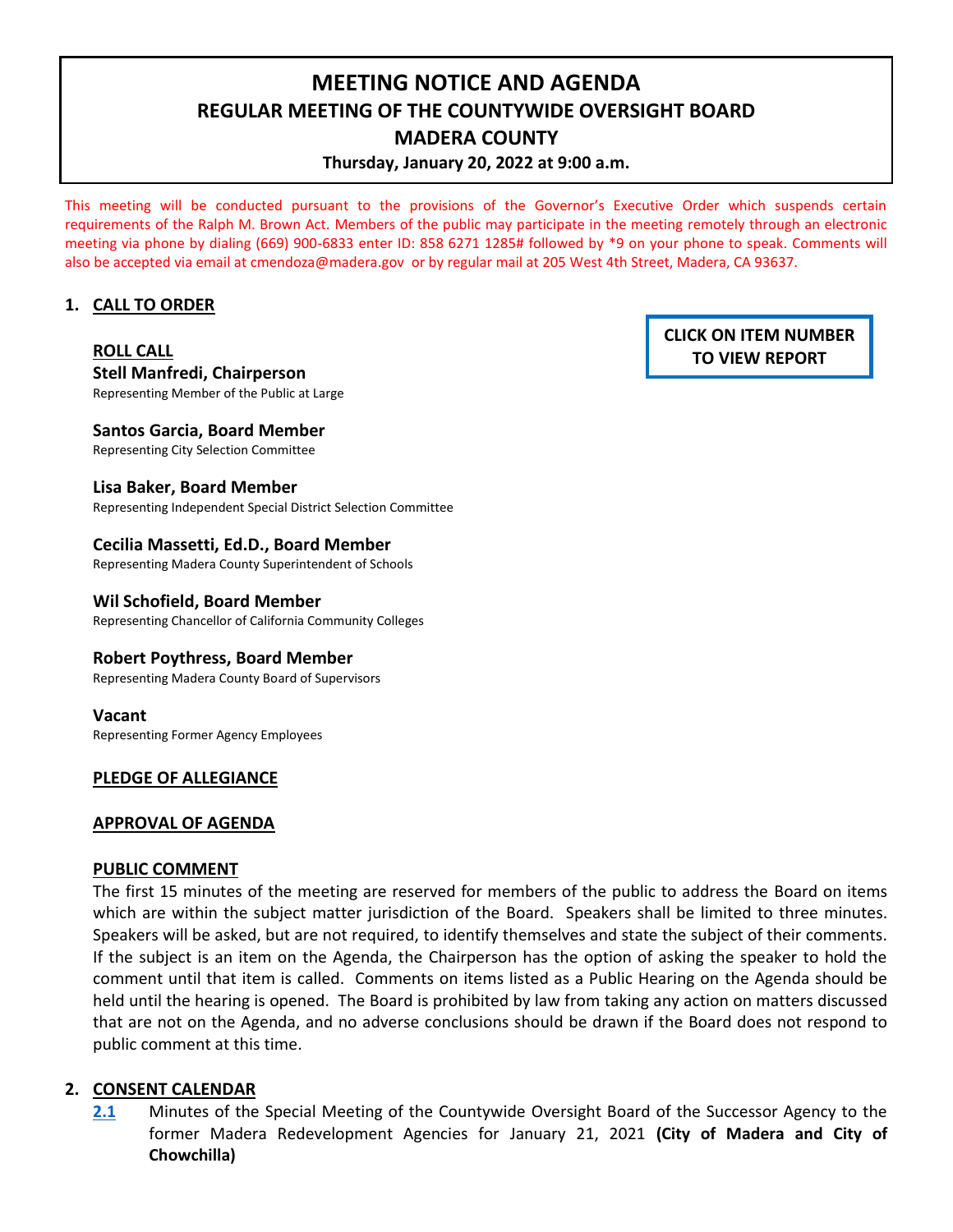# **MEETING NOTICE AND AGENDA REGULAR MEETING OF THE COUNTYWIDE OVERSIGHT BOARD MADERA COUNTY Thursday, January 20, 2022 at 9:00 a.m.**

This meeting will be conducted pursuant to the provisions of the Governor's Executive Order which suspends certain requirements of the Ralph M. Brown Act. Members of the public may participate in the meeting remotely through an electronic meeting via phone by dialing (669) 900-6833 enter ID: 858 6271 1285# followed by \*9 on your phone to speak. Comments will also be accepted via email at [cmendoza@madera.gov](mailto:cmendoza@madera.gov) or by regular mail at 205 West 4th Street, Madera, CA 93637.

## **1. CALL TO ORDER**

# **ROLL CALL Stell Manfredi, Chairperson**

Representing Member of the Public at Large

**Santos Garcia, Board Member** Representing City Selection Committee

## **Lisa Baker, Board Member**

Representing Independent Special District Selection Committee

## **Cecilia Massetti, Ed.D., Board Member**

Representing Madera County Superintendent of Schools

#### **Wil Schofield, Board Member**

Representing Chancellor of California Community Colleges

#### **Robert Poythress, Board Member**

Representing Madera County Board of Supervisors

#### **Vacant**

Representing Former Agency Employees

# **PLEDGE OF ALLEGIANCE**

#### **APPROVAL OF AGENDA**

#### **PUBLIC COMMENT**

The first 15 minutes of the meeting are reserved for members of the public to address the Board on items which are within the subject matter jurisdiction of the Board. Speakers shall be limited to three minutes. Speakers will be asked, but are not required, to identify themselves and state the subject of their comments. If the subject is an item on the Agenda, the Chairperson has the option of asking the speaker to hold the comment until that item is called. Comments on items listed as a Public Hearing on the Agenda should be held until the hearing is opened. The Board is prohibited by law from taking any action on matters discussed that are not on the Agenda, and no adverse conclusions should be drawn if the Board does not respond to public comment at this time.

# **2. CONSENT CALENDAR**

**[2.1](https://www.madera.gov/wp-content/uploads/2022/01/2.1-01.21.2021-Countywide-OB-Summary-Minutes.pdf)** Minutes of the Special Meeting of the Countywide Oversight Board of the Successor Agency to the former Madera Redevelopment Agencies for January 21, 2021 **(City of Madera and City of Chowchilla)**

# **CLICK ON ITEM NUMBER TO VIEW REPORT**